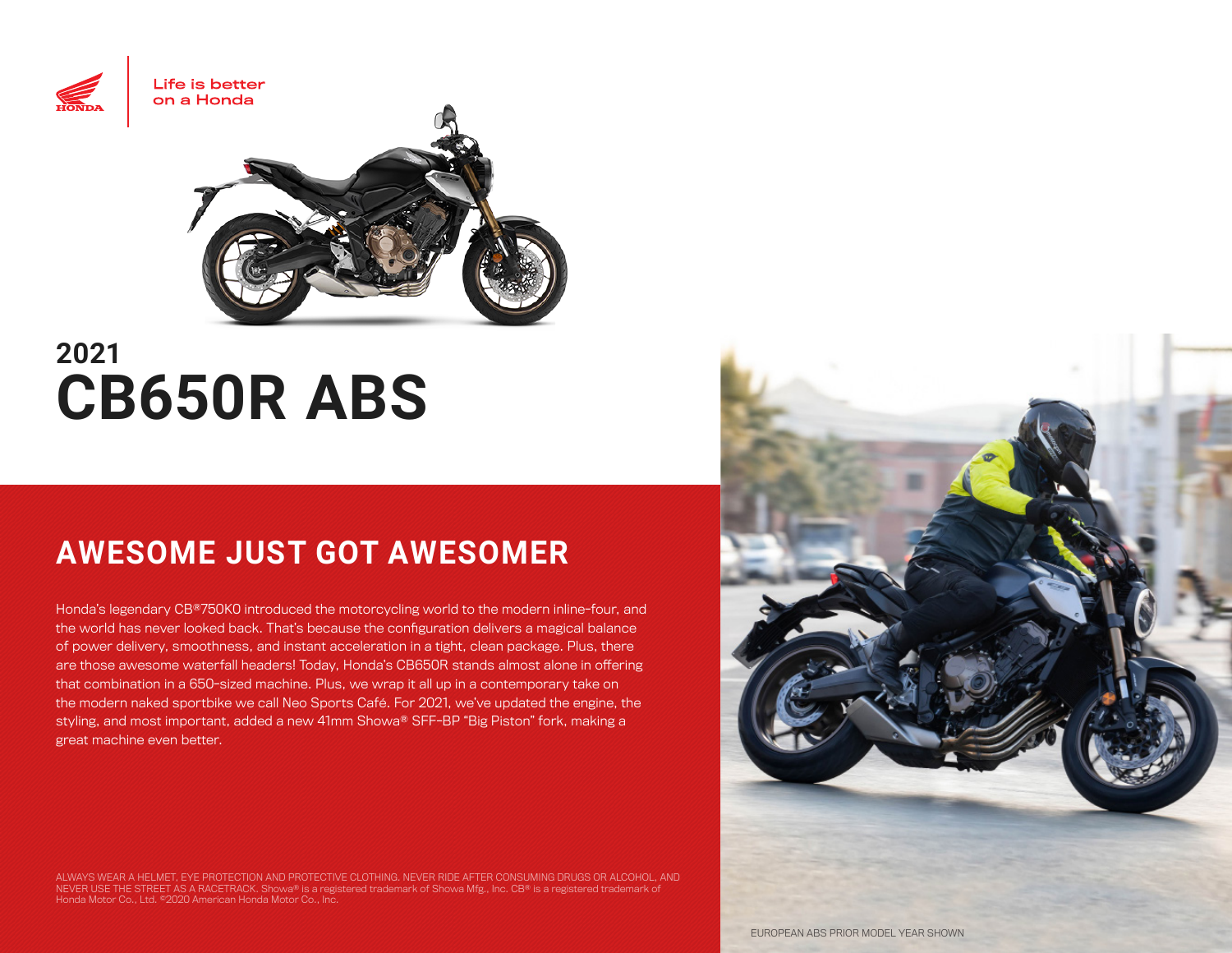

# **2021 CB650R ABS**

## **AWESOME JUST GOT AWESOMER**

Honda's legendary CB®750K0 introduced the motorcycling world to the modern inline-four, and the world has never looked back. That's because the configuration delivers a magical balance of power delivery, smoothness, and instant acceleration in a tight, clean package. Plus, there are those awesome waterfall headers! Today, Honda's CB650R stands almost alone in offering that combination in a 650-sized machine. Plus, we wrap it all up in a contemporary take on the modern naked sportbike we call Neo Sports Café. For 2021, we've updated the engine, the styling, and most important, added a new 41mm Showa® SFF-BP "Big Piston" fork, making a great machine even better.

ALWAYS WEAR A HELMET, EYE PROTECTION AND PROTECTIVE CLOTHING. NEVER RIDE AFTER CONSUMING DRUGS OR ALCOHOL, AND<br>NEVER USE THE STREET AS A RACETRACK. Showa® is a registered trademark of Showa Mfg., Inc. CB® is a registered Honda Motor Co., Ltd. ©2020 American Honda Motor Co., Inc.